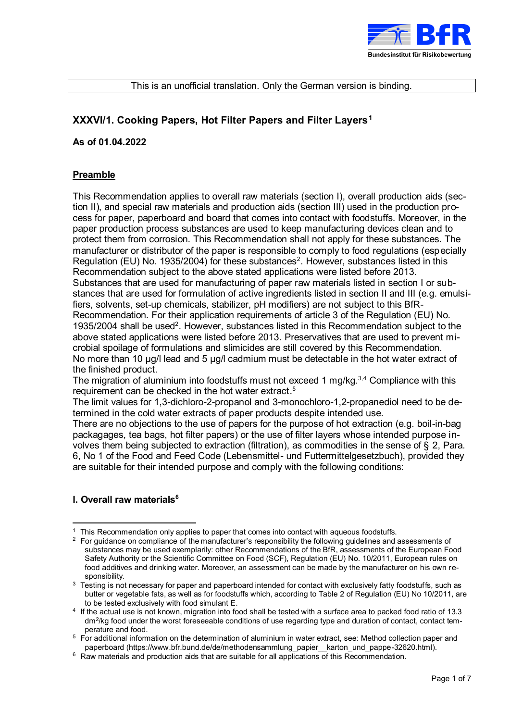

#### This is an unofficial translation. Only the German version is binding.

# **XXXVI/1. Cooking Papers, Hot Filter Papers and Filter Layers<sup>1</sup>**

#### **As of 01.04.2022**

#### **Preamble**

<span id="page-0-0"></span>This Recommendation applies to overall raw materials (section I), overall production aids (section II), and special raw materials and production aids (section III) used in the production process for paper, paperboard and board that comes into contact with foodstuffs. Moreover, in the paper production process substances are used to keep manufacturing devices clean and to protect them from corrosion. This Recommendation shall not apply for these substances. The manufacturer or distributor of the paper is responsible to comply to food regulations (especially Regulation (EU) No. 1935/2004) for these substances<sup>2</sup>. However, substances listed in this Recommendation subject to the above stated applications were listed before 2013. Substances that are used for manufacturing of paper raw materials listed in section I or substances that are used for formulation of active ingredients listed in section II and III (e.g. emulsifiers, solvents, set-up chemicals, stabilizer, pH modifiers) are not subject to this BfR-Recommendation. For their application requirements of article 3 of the Regulation (EU) No. 1935/2004 shall be used<sup>2</sup>[.](#page-0-0) However, substances listed in this Recommendation subject to the above stated applications were listed before 2013. Preservatives that are used to prevent microbial spoilage of formulations and slimicides are still covered by this Recommendation. No more than 10 μg/l lead and 5 µg/l cadmium must be detectable in the hot water extract of the finished product.

The migration of aluminium into foodstuffs must not exceed 1 mg/kg.<sup>3,4</sup> Compliance with this requirement can be checked in the hot water extract. 5

The limit values for 1,3-dichloro-2-propanol and 3-monochloro-1,2-propanediol need to be determined in the cold water extracts of paper products despite intended use.

There are no objections to the use of papers for the purpose of hot extraction (e.g. boil-in-bag packagages, tea bags, hot filter papers) or the use of filter layers whose intended purpose involves them being subjected to extraction (filtration), as commodities in the sense of § 2, Para. 6, No 1 of the Food and Feed Code (Lebensmittel- und Futtermittelgesetzbuch), provided they are suitable for their intended purpose and comply with the following conditions:

### <span id="page-0-1"></span>**I. Overall raw materials<sup>6</sup>**

 $\overline{a}$ <sup>1</sup> This Recommendation only applies to paper that comes into contact with aqueous foodstuffs.

<sup>&</sup>lt;sup>2</sup> For quidance on compliance of the manufacturer's responsibility the following guidelines and assessments of substances may be used exemplarily: other Recommendations of the BfR, assessments of the European Food Safety Authority or the Scientific Committee on Food (SCF), Regulation (EU) No. 10/2011, European rules on food additives and drinking water. Moreover, an assessment can be made by the manufacturer on his own responsibility.

<sup>&</sup>lt;sup>3</sup> Testing is not necessary for paper and paperboard intended for contact with exclusively fatty foodstuffs, such as butter or vegetable fats, as well as for foodstuffs which, according to Table 2 of Regulation (EU) No 10/2011, are to be tested exclusively with food simulant E.

<sup>4</sup> If the actual use is not known, migration into food shall be tested with a surface area to packed food ratio of 13.3 dm<sup>2</sup> /kg food under the worst foreseeable conditions of use regarding type and duration of contact, contact temperature and food.

<sup>5</sup> For additional information on the determination of aluminium in water extract, see: Method collection paper and paperboard (https://www.bfr.bund.de/de/methodensammlung\_papier\_\_karton\_und\_pappe-32620.html).

 $6$  Raw materials and production aids that are suitable for all applications of this Recommendation.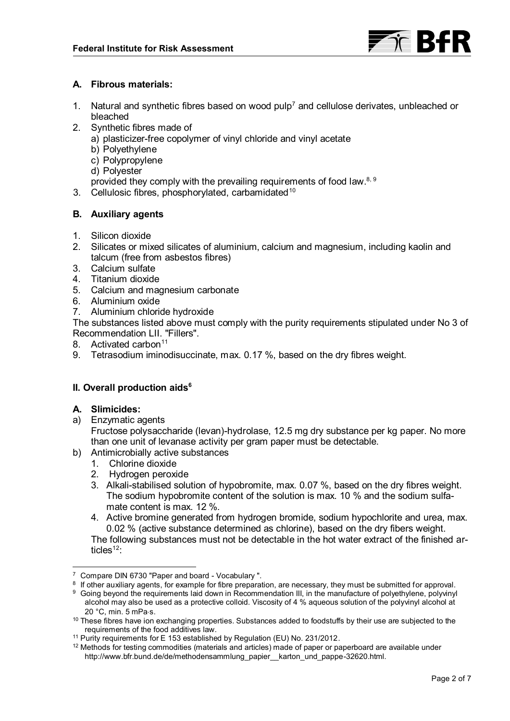

## **A. Fibrous materials:**

- 1. Natural and synthetic fibres based on wood pulp<sup>7</sup> and cellulose derivates, unbleached or bleached
- 2. Synthetic fibres made of
	- a) plasticizer-free copolymer of vinyl chloride and vinyl acetate
	- b) Polyethylene
	- c) Polypropylene
	- d) Polyester
	- provided they comply with the prevailing requirements of food law.<sup>8, 9</sup>
- 3. Cellulosic fibres, phosphorylated, carbamidated<sup>10</sup>

# **B. Auxiliary agents**

- 1. Silicon dioxide
- 2. Silicates or mixed silicates of aluminium, calcium and magnesium, including kaolin and talcum (free from asbestos fibres)
- 3. Calcium sulfate
- 4. Titanium dioxide
- 5. Calcium and magnesium carbonate
- 6. Aluminium oxide
- 7. Aluminium chloride hydroxide

The substances listed above must comply with the purity requirements stipulated under No 3 of Recommendation LII. "Fillers".

- 8 Activated carbon<sup>11</sup>
- 9. Tetrasodium iminodisuccinate, max. 0.17 %, based on the dry fibres weight.

# **II. Overall production aids[6](#page-0-1)**

# **A. Slimicides:**

 $\overline{a}$ 

a) Enzymatic agents

Fructose polysaccharide (levan)-hydrolase, 12.5 mg dry substance per kg paper. No more than one unit of levanase activity per gram paper must be detectable.

- b) Antimicrobially active substances
	- 1. Chlorine dioxide
	- 2. Hydrogen peroxide
	- 3. Alkali-stabilised solution of hypobromite, max. 0.07 %, based on the dry fibres weight. The sodium hypobromite content of the solution is max. 10 % and the sodium sulfamate content is max. 12 %.
	- 4. Active bromine generated from hydrogen bromide, sodium hypochlorite and urea, max. 0.02 % (active substance determined as chlorine), based on the dry fibers weight.

<span id="page-1-0"></span>The following substances must not be detectable in the hot water extract of the finished articles<sup>12</sup>:

<sup>7</sup> Compare DIN 6730 "Paper and board - Vocabulary ".

 $^{\rm 8}$  If other auxiliary agents, for example for fibre preparation, are necessary, they must be submitted for approval.

<sup>9</sup> Going beyond the requirements laid down in Recommendation III, in the manufacture of polyethylene, polyvinyl alcohol may also be used as a protective colloid. Viscosity of 4 % aqueous solution of the polyvinyl alcohol at 20 °C, min. 5 mPas.

<sup>&</sup>lt;sup>10</sup> These fibres have ion exchanging properties. Substances added to foodstuffs by their use are subjected to the requirements of the food additives law.

<sup>&</sup>lt;sup>11</sup> Purity requirements for E 153 established by Regulation (EU) No. 231/2012.

 $12$  Methods for testing commodities (materials and articles) made of paper or paperboard are available under http://www.bfr.bund.de/de/methodensammlung\_papier\_karton\_und\_pappe-32620.html.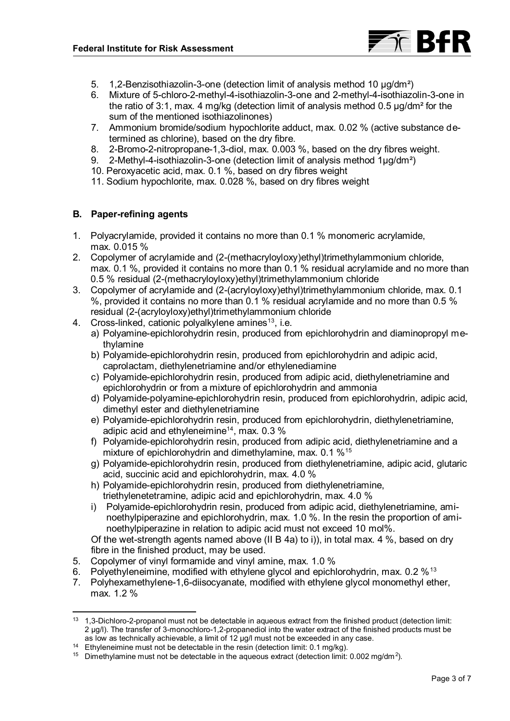

- 5. 1,2-Benzisothiazolin-3-one (detection limit of analysis method 10 µg/dm²)
- 6. Mixture of 5-chloro-2-methyl-4-isothiazolin-3-one and 2-methyl-4-isothiazolin-3-one in the ratio of 3:1, max. 4 mg/kg (detection limit of analysis method 0.5 µg/dm² for the sum of the mentioned isothiazolinones)
- 7. Ammonium bromide/sodium hypochlorite adduct, max. 0.02 % (active substance determined as chlorine), based on the dry fibre.
- 8. 2-Bromo-2-nitropropane-1,3-diol, max. 0.003 %, based on the dry fibres weight.
- 9. 2-Methyl-4-isothiazolin-3-one (detection limit of analysis method 1µg/dm²)
- 10. Peroxyacetic acid, max. 0.1 %, based on dry fibres weight
- 11. Sodium hypochlorite, max. 0.028 %, based on dry fibres weight

### **B. Paper-refining agents**

- 1. Polyacrylamide, provided it contains no more than 0.1 % monomeric acrylamide, max. 0.015 %
- 2. Copolymer of acrylamide and (2-(methacryloyloxy)ethyl)trimethylammonium chloride, max. 0.1 %, provided it contains no more than 0.1 % residual acrylamide and no more than 0.5 % residual (2-(methacryloyloxy)ethyl)trimethylammonium chloride
- 3. Copolymer of acrylamide and (2-(acryloyloxy)ethyl)trimethylammonium chloride, max. 0.1 %, provided it contains no more than 0.1 % residual acrylamide and no more than 0.5 % residual (2-(acryloyloxy)ethyl)trimethylammonium chloride
- <span id="page-2-2"></span><span id="page-2-0"></span>4. Cross-linked, cationic polyalkylene amines<sup>13</sup>, i.e.
	- a) Polyamine-epichlorohydrin resin, produced from epichlorohydrin and diaminopropyl methylamine
	- b) Polyamide-epichlorohydrin resin, produced from epichlorohydrin and adipic acid, caprolactam, diethylenetriamine and/or ethylenediamine
	- c) Polyamide-epichlorohydrin resin, produced from adipic acid, diethylenetriamine and epichlorohydrin or from a mixture of epichlorohydrin and ammonia
	- d) Polyamide-polyamine-epichlorohydrin resin, produced from epichlorohydrin, adipic acid, dimethyl ester and diethylenetriamine
	- e) Polyamide-epichlorohydrin resin, produced from epichlorohydrin, diethylenetriamine, adipic acid and ethyleneimine<sup>14</sup>, max.  $0.3\%$
	- f) Polyamide-epichlorohydrin resin, produced from adipic acid, diethylenetriamine and a mixture of epichlorohydrin and dimethylamine, max. 0.1 %<sup>15</sup>
	- g) Polyamide-epichlorohydrin resin, produced from diethylenetriamine, adipic acid, glutaric acid, succinic acid and epichlorohydrin, max. 4.0 %
	- h) Polyamide-epichlorohydrin resin, produced from diethylenetriamine, triethylenetetramine, adipic acid and epichlorohydrin, max. 4.0 %
	- i) Polyamide-epichlorohydrin resin, produced from adipic acid, diethylenetriamine, aminoethylpiperazine and epichlorohydrin, max. 1.0 %. In the resin the proportion of aminoethylpiperazine in relation to adipic acid must not exceed 10 mol%.

<span id="page-2-1"></span>Of the wet-strength agents named above (II B 4a) to i)), in total max. 4 %, based on dry fibre in the finished product, may be used.

- 5. Copolymer of vinyl formamide and vinyl amine, max. 1.0 %
- 6. Polyethyleneimine, modified with ethylene glycol and epichlorohydrin, max. 0.2  $\%$ <sup>[13](#page-2-0)</sup>
- 7. Polyhexamethylene-1,6-diisocyanate, modified with ethylene glycol monomethyl ether, max. 1.2 %

 $\overline{a}$ <sup>13</sup> 1,3-Dichloro-2-propanol must not be detectable in aqueous extract from the finished product (detection limit: 2 µg/l). The transfer of 3-monochloro-1,2-propanediol into the water extract of the finished products must be as low as technically achievable, a limit of 12 µg/l must not be exceeded in any case.

<sup>&</sup>lt;sup>14</sup> Ethyleneimine must not be detectable in the resin (detection limit: 0.1 mg/kg).

<sup>&</sup>lt;sup>15</sup> Dimethylamine must not be detectable in the aqueous extract (detection limit: 0.002 mg/dm<sup>2</sup>).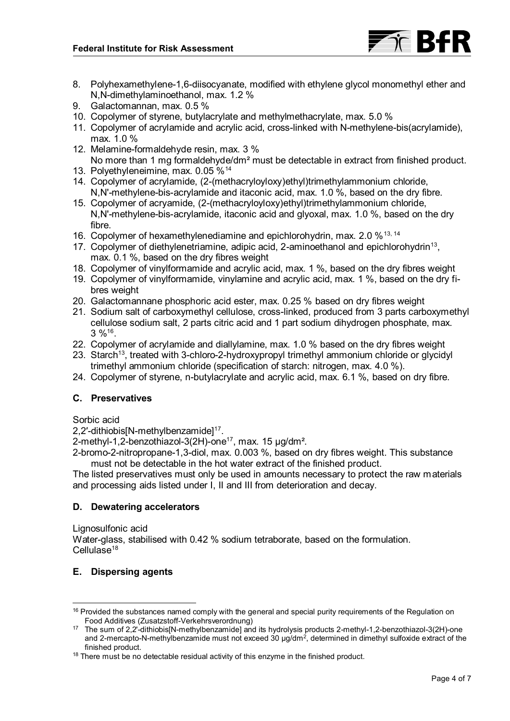

- 8. Polyhexamethylene-1,6-diisocyanate, modified with ethylene glycol monomethyl ether and N,N-dimethylaminoethanol, max. 1.2 %
- 9. Galactomannan, max. 0.5 %
- 10. Copolymer of styrene, butylacrylate and methylmethacrylate, max. 5.0 %
- 11. Copolymer of acrylamide and acrylic acid, cross-linked with N-methylene-bis(acrylamide), max. 1.0 %
- 12. Melamine-formaldehyde resin, max. 3 % No more than 1 mg formaldehyde/dm<sup>2</sup> must be detectable in extract from finished product.
- 13. Polyethyleneimine, max. 0.05 %[14](#page-2-1)
- 14. Copolymer of acrylamide, (2-(methacryloyloxy)ethyl)trimethylammonium chloride, N,N'-methylene-bis-acrylamide and itaconic acid, max. 1.0 %, based on the dry fibre.
- 15. Copolymer of acryamide, (2-(methacryloyloxy)ethyl)trimethylammonium chloride, N,N'-methylene-bis-acrylamide, itaconic acid and glyoxal, max. 1.0 %, based on the dry fibre.
- 16. Copolymer of hexamethylenediamine and epichlorohydrin, max. 2.0 %[13,](#page-2-2) [14](#page-2-1)
- 17. Copolymer of diethylenetriamine, adipic acid, 2-aminoethanol and epichlorohydrin<sup>[13](#page-2-2)</sup>, max. 0.1 %, based on the dry fibres weight
- 18. Copolymer of vinylformamide and acrylic acid, max. 1 %, based on the dry fibres weight
- 19. Copolymer of vinylformamide, vinylamine and acrylic acid, max. 1 %, based on the dry fibres weight
- 20. Galactomannane phosphoric acid ester, max. 0.25 % based on dry fibres weight
- 21. Sodium salt of carboxymethyl cellulose, cross-linked, produced from 3 parts carboxymethyl cellulose sodium salt, 2 parts citric acid and 1 part sodium dihydrogen phosphate, max.  $3\%$ <sup>16</sup>.
- <span id="page-3-1"></span>22. Copolymer of acrylamide and diallylamine, max. 1.0 % based on the dry fibres weight
- 23. Starch<sup>[13](#page-2-2)</sup>, treated with 3-chloro-2-hydroxypropyl trimethyl ammonium chloride or glycidyl trimethyl ammonium chloride (specification of starch: nitrogen, max. 4.0 %).
- 24. Copolymer of styrene, n-butylacrylate and acrylic acid, max. 6.1 %, based on dry fibre.

### **C. Preservatives**

#### Sorbic acid

<span id="page-3-0"></span>2,2′-dithiobis[N-methylbenzamide]<sup>17</sup>.

2-methyl-1,2-benzothiazol-3(2H)-one<sup>[17](#page-3-0)</sup>, max. 15  $\mu$ g/dm<sup>2</sup>.

2-bromo-2-nitropropane-1,3-diol, max. 0.003 %, based on dry fibres weight. This substance must not be detectable in the hot water extract of the finished product.

The listed preservatives must only be used in amounts necessary to protect the raw materials and processing aids listed under I, II and III from deterioration and decay.

### **D. Dewatering accelerators**

Lignosulfonic acid

Water-glass, stabilised with 0.42 % sodium tetraborate, based on the formulation. Cellulase<sup>18</sup>

### **E. Dispersing agents**

  $16$  Provided the substances named comply with the general and special purity requirements of the Regulation on Food Additives (Zusatzstoff-Verkehrsverordnung)

<sup>17</sup> The sum of 2,2'-dithiobis[N-methylbenzamide] and its hydrolysis products 2-methyl-1,2-benzothiazol-3(2H)-one and 2-mercapto-N-methylbenzamide must not exceed 30  $\mu$ g/dm<sup>2</sup>, determined in dimethyl sulfoxide extract of the finished product.

 $18$  There must be no detectable residual activity of this enzyme in the finished product.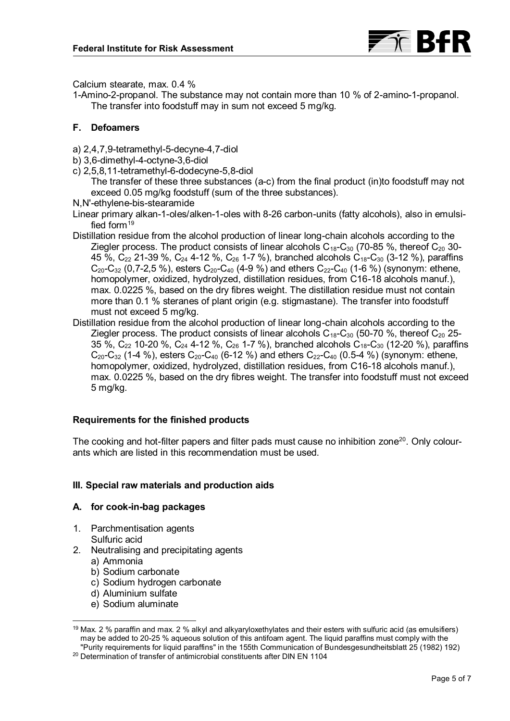

Calcium stearate, max. 0.4 %

1-Amino-2-propanol. The substance may not contain more than 10 % of 2-amino-1-propanol. The transfer into foodstuff may in sum not exceed 5 mg/kg.

### **F. Defoamers**

- a) 2,4,7,9-tetramethyl-5-decyne-4,7-diol
- b) 3,6-dimethyl-4-octyne-3,6-diol
- c) 2,5,8,11-tetramethyl-6-dodecyne-5,8-diol

The transfer of these three substances (a-c) from the final product (in)to foodstuff may not exceed 0.05 mg/kg foodstuff (sum of the three substances).

N,N'-ethylene-bis-stearamide

Linear primary alkan-1-oles/alken-1-oles with 8-26 carbon-units (fatty alcohols), also in emulsified form $19$ 

- Distillation residue from the alcohol production of linear long-chain alcohols according to the Ziegler process. The product consists of linear alcohols  $C_{18}$ -C<sub>30</sub> (70-85 %, thereof C<sub>20</sub> 30-45 %,  $C_{22}$  21-39 %,  $C_{24}$  4-12 %,  $C_{26}$  1-7 %), branched alcohols  $C_{18}$ - $C_{30}$  (3-12 %), paraffins  $C_{20}$ -C<sub>32</sub> (0,7-2,5 %), esters C<sub>20</sub>-C<sub>40</sub> (4-9 %) and ethers C<sub>22</sub>-C<sub>40</sub> (1-6 %) (synonym: ethene, homopolymer, oxidized, hydrolyzed, distillation residues, from C16-18 alcohols manuf.), max. 0.0225 %, based on the dry fibres weight. The distillation residue must not contain more than 0.1 % steranes of plant origin (e.g. stigmastane). The transfer into foodstuff must not exceed 5 mg/kg.
- Distillation residue from the alcohol production of linear long-chain alcohols according to the Ziegler process. The product consists of linear alcohols  $C_{18}$ -C<sub>30</sub> (50-70 %, thereof C<sub>20</sub> 25-35 %,  $C_{22}$  10-20 %,  $C_{24}$  4-12 %,  $C_{26}$  1-7 %), branched alcohols  $C_{18}$ - $C_{30}$  (12-20 %), paraffins  $C_{20}$ -C<sub>32</sub> (1-4 %), esters C<sub>20</sub>-C<sub>40</sub> (6-12 %) and ethers C<sub>22</sub>-C<sub>40</sub> (0.5-4 %) (synonym: ethene, homopolymer, oxidized, hydrolyzed, distillation residues, from C16-18 alcohols manuf.), max. 0.0225 %, based on the dry fibres weight. The transfer into foodstuff must not exceed 5 mg/kg.

# **Requirements for the finished products**

The cooking and hot-filter papers and filter pads must cause no inhibition zone<sup>20</sup>. Only colourants which are listed in this recommendation must be used.

### **III. Special raw materials and production aids**

### **A. for cook-in-bag packages**

- 1. Parchmentisation agents Sulfuric acid
- 2. Neutralising and precipitating agents
	- a) Ammonia

 $\overline{a}$ 

- b) Sodium carbonate
- c) Sodium hydrogen carbonate
- d) Aluminium sulfate
- e) Sodium aluminate

<sup>19</sup> Max. 2 % paraffin and max. 2 % alkyl and alkyaryloxethylates and their esters with sulfuric acid (as emulsifiers) may be added to 20-25 % aqueous solution of this antifoam agent. The liquid paraffins must comply with the "Purity requirements for liquid paraffins" in the 155th Communication of Bundesgesundheitsblatt 25 (1982) 192)

<sup>&</sup>lt;sup>20</sup> Determination of transfer of antimicrobial constituents after DIN EN 1104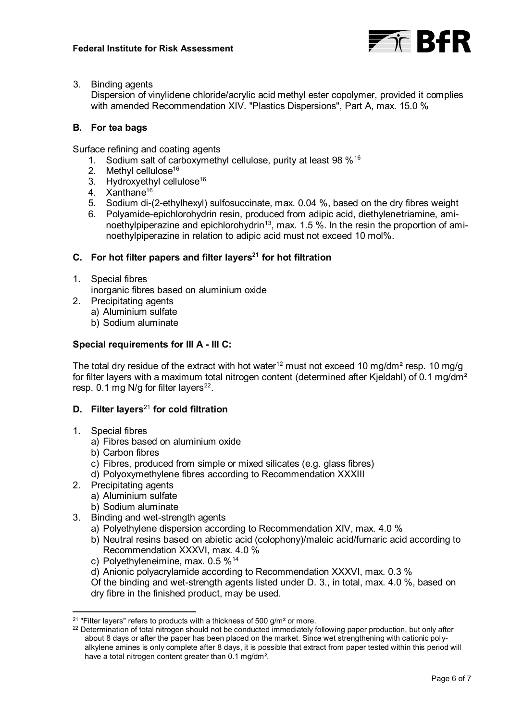

3. Binding agents

Dispersion of vinylidene chloride/acrylic acid methyl ester copolymer, provided it complies with amended Recommendation XIV. "Plastics Dispersions", Part A, max. 15.0 %

### **B. For tea bags**

Surface refining and coating agents

- 1. Sodium salt of carboxymethyl cellulose, purity at least 98 %[16](#page-3-1)
- 2. Methyl cellulose<sup>[16](#page-3-1)</sup>
- 3. Hydroxyethyl cellulose<sup>[16](#page-3-1)</sup>
- 4. Xanthane<sup>[16](#page-3-1)</sup>
- 5. Sodium di-(2-ethylhexyl) sulfosuccinate, max. 0.04 %, based on the dry fibres weight
- <span id="page-5-0"></span>6. Polyamide-epichlorohydrin resin, produced from adipic acid, diethylenetriamine, ami-noethylpiperazine and epichlorohydrin<sup>[13](#page-2-2)</sup>, max. 1.5 %. In the resin the proportion of aminoethylpiperazine in relation to adipic acid must not exceed 10 mol%.

## **C. For hot filter papers and filter layers<sup>21</sup> for hot filtration**

- 1. Special fibres inorganic fibres based on aluminium oxide
- 2. Precipitating agents
	- a) Aluminium sulfate
	- b) Sodium aluminate

## **Special requirements for III A - III C:**

The total dry residue of the extract with hot water<sup>[12](#page-1-0)</sup> must not exceed 10 mg/dm<sup>2</sup> resp. 10 mg/g for filter layers with a maximum total nitrogen content (determined after Kjeldahl) of 0.1 mg/dm<sup>2</sup> resp. 0.1 mg N/g for filter layers $^{22}$ .

## **D. Filter layers**[21](#page-5-0) **for cold filtration**

- 1. Special fibres
	- a) Fibres based on aluminium oxide
	- b) Carbon fibres
	- c) Fibres, produced from simple or mixed silicates (e.g. glass fibres)
	- d) Polyoxymethylene fibres according to Recommendation XXXIII
- 2. Precipitating agents
	- a) Aluminium sulfate
	- b) Sodium aluminate
- 3. Binding and wet-strength agents
	- a) Polyethylene dispersion according to Recommendation XIV, max. 4.0 %
	- b) Neutral resins based on abietic acid (colophony)/maleic acid/fumaric acid according to Recommendation XXXVI, max. 4.0 %
	- c) Polyethyleneimine, max. 0.5 %[14](#page-2-1)
	- d) Anionic polyacrylamide according to Recommendation XXXVI, max. 0.3 %

Of the binding and wet-strength agents listed under D. 3., in total, max. 4.0 %, based on dry fibre in the finished product, may be used.

 $\overline{a}$ <sup>21</sup> "Filter layers" refers to products with a thickness of 500 g/m<sup>2</sup> or more.

<sup>&</sup>lt;sup>22</sup> Determination of total nitrogen should not be conducted immediately following paper production, but only after about 8 days or after the paper has been placed on the market. Since wet strengthening with cationic polyalkylene amines is only complete after 8 days, it is possible that extract from paper tested within this period will have a total nitrogen content greater than 0.1 mg/dm².